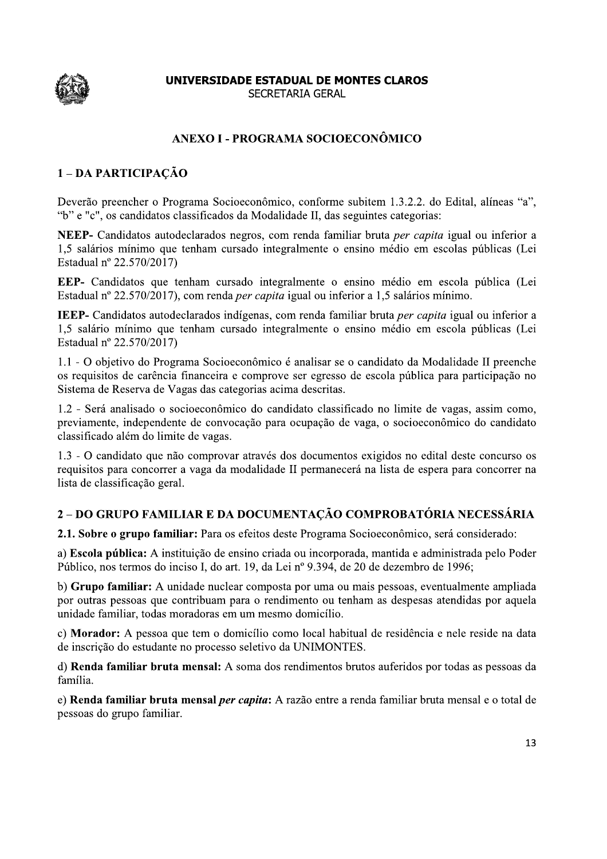

## ANEXO I - PROGRAMA SOCIOECONÔMICO

# 1-DA PARTICIPAÇÃO

Deverão preencher o Programa Socioeconômico, conforme subitem 1.3.2.2. do Edital, alíneas "a", "b" e "c", os candidatos classificados da Modalidade II, das seguintes categorias:

NEEP- Candidatos autodeclarados negros, com renda familiar bruta per capita igual ou inferior a 1,5 salários mínimo que tenham cursado integralmente o ensino médio em escolas públicas (Lei Estadual nº 22.570/2017)

EEP- Candidatos que tenham cursado integralmente o ensino médio em escola pública (Lei Estadual nº 22.570/2017), com renda *per capita* igual ou inferior a 1,5 salários mínimo.

IEEP- Candidatos autodeclarados indígenas, com renda familiar bruta per capita igual ou inferior a 1,5 salário mínimo que tenham cursado integralmente o ensino médio em escola públicas (Lei Estadual nº 22.570/2017)

1.1 - O objetivo do Programa Socioeconômico é analisar se o candidato da Modalidade II preenche os requisitos de carência financeira e comprove ser egresso de escola pública para participação no Sistema de Reserva de Vagas das categorias acima descritas.

1.2 - Será analisado o socioeconômico do candidato classificado no limite de vagas, assim como, previamente, independente de convocação para ocupação de vaga, o socioeconômico do candidato classificado além do limite de vagas.

1.3 - O candidato que não comprovar através dos documentos exigidos no edital deste concurso os requisitos para concorrer a vaga da modalidade II permanecerá na lista de espera para concorrer na lista de classificação geral.

# 2 – DO GRUPO FAMILIAR E DA DOCUMENTAÇÃO COMPROBATÓRIA NECESSÁRIA

2.1. Sobre o grupo familiar: Para os efeitos deste Programa Socioeconômico, será considerado:

a) Escola pública: A instituição de ensino criada ou incorporada, mantida e administrada pelo Poder Público, nos termos do inciso I, do art. 19, da Lei nº 9.394, de 20 de dezembro de 1996;

b) Grupo familiar: A unidade nuclear composta por uma ou mais pessoas, eventualmente ampliada por outras pessoas que contribuam para o rendimento ou tenham as despesas atendidas por aquela unidade familiar, todas moradoras em um mesmo domicílio.

c) Morador: A pessoa que tem o domicílio como local habitual de residência e nele reside na data de inscrição do estudante no processo seletivo da UNIMONTES.

d) Renda familiar bruta mensal: A soma dos rendimentos brutos auferidos por todas as pessoas da família.

e) Renda familiar bruta mensal *per capita*: A razão entre a renda familiar bruta mensal e o total de pessoas do grupo familiar.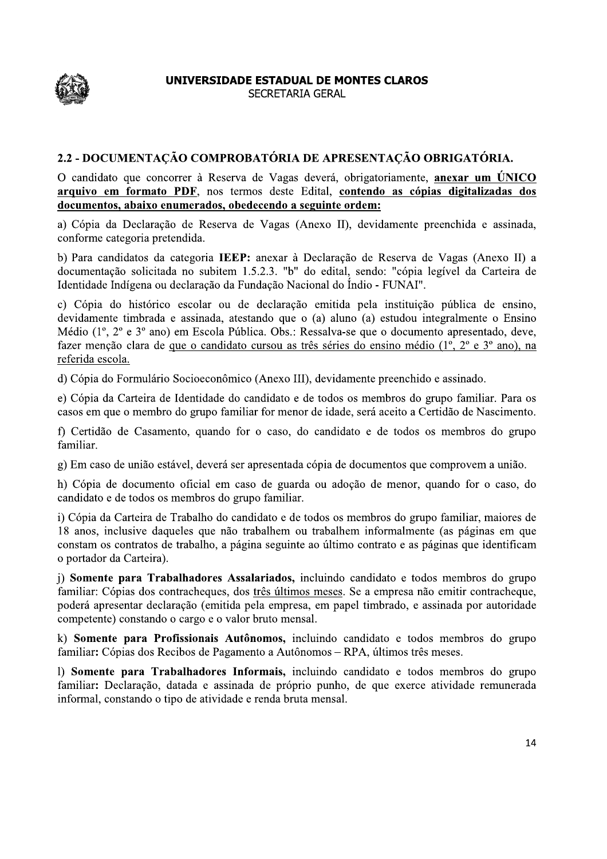

**UNIVERSIDADE ESTADUAL DE MONTES CLAROS**<br>
SECRETARIA GERAL<br>
2.2 - DOCUMENTAÇÃO COMPROBATÓRIA DE APRESENTAÇÃO OBRIGATÓRIA.<br>
0 candidato que concorrer à Reserva de Vagas deverá, obrigatoriamente, <u>anexar um ÚNICO</u><br>
droumento

a) Cópia da Declaração de Reserva de Vagas (Anexo II), devidamente preenchida e assinada, conforme categoria pretendida.

b) Para candidatos da categoria IEEP: anexar à Declaração de Reserva de Vagas (Anexo II) a documentação solicitada no subitem 1.5.2.3. "b" do edital, sendo: "cópia legível da Carteira de Identidade Indígena ou declaração da Fundação Nacional do Índio - FUNAI".

c) Cópia do histórico escolar ou de declaração emitida pela instituição pública de ensino, devidamente timbrada e assinada, atestando que o (a) aluno (a) estudou integralmente o Ensino Médio (1<sup>o</sup>, 2<sup>o</sup> e 3<sup>o</sup> ano) em Escola Pública. Obs.: Ressalva-se que o documento apresentado, deve, fazer menção clara de que o candidato cursou as três séries do ensino médio  $(1^{\circ}, 2^{\circ} e 3^{\circ}$  ano), na referida escola.

d) Cópia do Formulário Socioeconômico (Anexo III), devidamente preenchido e assinado.

e) Cópia da Carteira de Identidade do candidato e de todos os membros do grupo familiar. Para os casos em que o membro do grupo familiar for menor de idade, será aceito a Certidão de Nascimento.

f) Certidão de Casamento, quando for o caso, do candidato e de todos os membros do grupo familiar.

g) Em caso de união estável, deverá ser apresentada cópia de documentos que comprovem a união.

h) Cópia de documento oficial em caso de guarda ou adoção de menor, quando for o caso, do candidato e de todos os membros do grupo familiar.

 $\overline{A}$ ) Cópia da Carteira de Trabalho do candidato e de todos os membros do grupo familiar, maiores de 18 anos, inclusive daqueles que não trabalhem ou trabalhem informalmente (as páginas em que constam os contratos de trabalho, a página seguinte ao último contrato e as páginas que identificam o portador da Carteira).

i) Somente para Trabalhadores Assalariados, incluindo candidato e todos membros do grupo familiar: Cópias dos contracheques, dos três últimos meses. Se a empresa não emitir contracheque, poderá apresentar declaração (emitida pela empresa, em papel timbrado, e assinada por autoridade competente) constando o cargo e o valor bruto mensal.

k) Somente para Profissionais Autônomos, incluindo candidato e todos membros do grupo familiar: Cópias dos Recibos de Pagamento a Autônomos - RPA, últimos três meses.

1) Somente para Trabalhadores Informais, incluindo candidato e todos membros do grupo familiar: Declaração, datada e assinada de próprio punho, de que exerce atividade remunerada informal, constando o tipo de atividade e renda bruta mensal.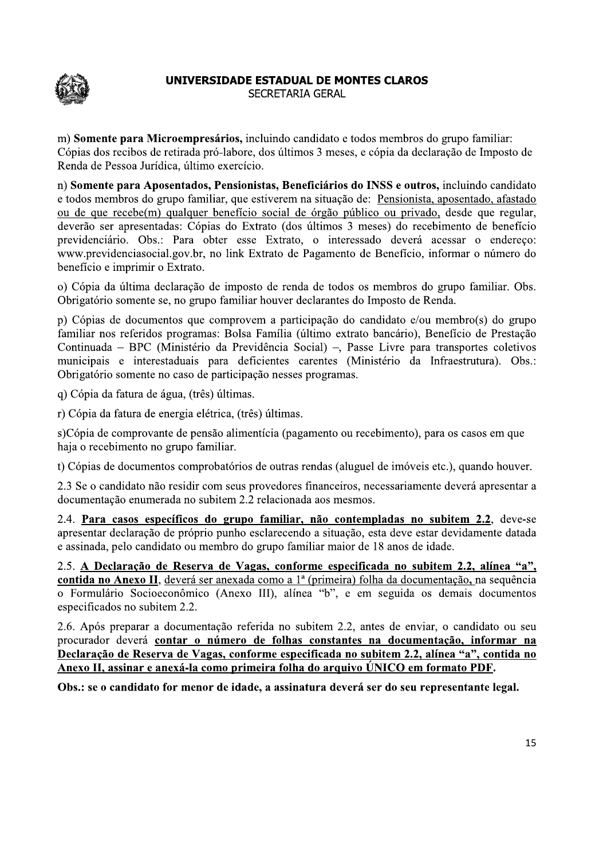

m) Somente para Microempresários, incluindo candidato e todos membros do grupo familiar: Cópias dos recibos de retirada pró-labore, dos últimos 3 meses, e cópia da declaração de Imposto de Renda de Pessoa Jurídica, último exercício.

n) Somente para Aposentados, Pensionistas, Beneficiários do INSS e outros, incluindo candidato e todos membros do grupo familiar, que estiverem na situação de: Pensionista, aposentado, afastado ou de que recebe(m) qualquer benefício social de órgão público ou privado, desde que regular, deverão ser apresentadas: Cópias do Extrato (dos últimos 3 meses) do recebimento de benefício previdenciário. Obs.: Para obter esse Extrato, o interessado deverá acessar o endereço: www.previdenciasocial.gov.br, no link Extrato de Pagamento de Benefício, informar o número do benefício e imprimir o Extrato.

o) Cópia da última declaração de imposto de renda de todos os membros do grupo familiar. Obs. Obrigatório somente se, no grupo familiar houver declarantes do Imposto de Renda.

b) Cópias de documentos que comprovem a participação do candidato e/ou membro(s) do grupo familiar nos referidos programas: Bolsa Família (último extrato bancário), Benefício de Prestação Continuada – BPC (Ministério da Previdência Social) –, Passe Livre para transportes coletivos municipais e interestaduais para deficientes carentes (Ministério da Infraestrutura). Obs.: Obrigatório somente no caso de participação nesses programas.

q) Cópia da fatura de água, (três) últimas.

r) Cópia da fatura de energia elétrica, (três) últimas.

s)Cópia de comprovante de pensão alimentícia (pagamento ou recebimento), para os casos em que haja o recebimento no grupo familiar.

t) Cópias de documentos comprobatórios de outras rendas (aluguel de imóveis etc.), quando houver.

2.3 Se o candidato não residir com seus provedores financeiros, necessariamente deverá apresentar a documentação enumerada no subitem 2.2 relacionada aos mesmos.

 $2.4$ . Para casos específicos do grupo familiar, não contempladas no subitem  $2.2$ , deve-se apresentar declaração de próprio punho esclarecendo a situação, esta deve estar devidamente datada e assinada, pelo candidato ou membro do grupo familiar maior de 18 anos de idade.

2.5. A Declaração de Reserva de Vagas, conforme especificada no subitem 2.2, alínea "a", contida no Anexo II, deverá ser anexada como a 1ª (primeira) folha da documentação, na sequência o Formulário Socioeconômico (Anexo III), alínea "b", e em seguida os demais documentos especificados no subitem 2.2.

2.6. Após preparar a documentação referida no subitem 2.2, antes de enviar, o candidato ou seu procurador deverá contar o número de folhas constantes na documentação, informar na Declaração de Reserva de Vagas, conforme especificada no subitem 2.2, alínea "a", contida no Anexo II, assinar e anexá-la como primeira folha do arquivo ÚNICO em formato PDF.

Obs.: se o candidato for menor de idade, a assinatura deverá ser do seu representante legal.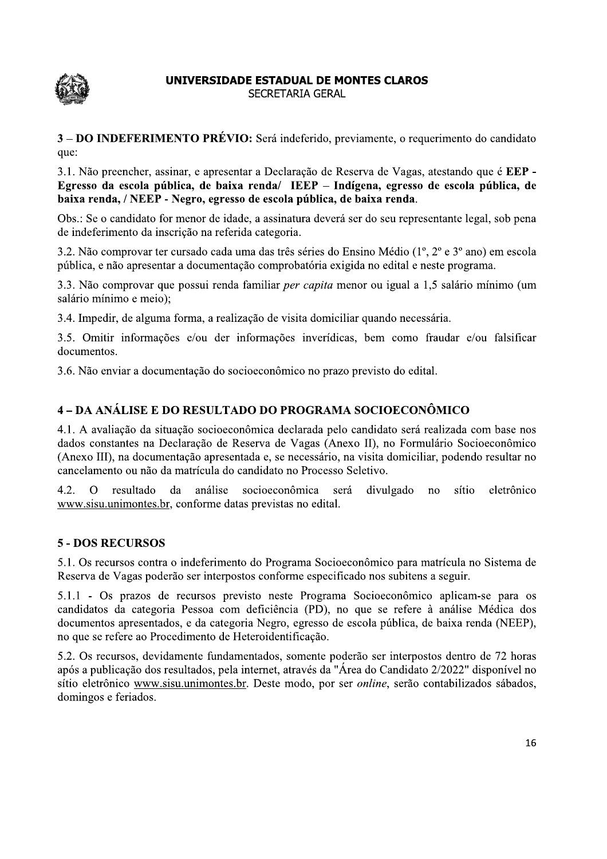

3 – DO INDEFERIMENTO PRÉVIO: Será indeferido, previamente, o requerimento do candidato que:

3.1. Não preencher, assinar, e apresentar a Declaração de Reserva de Vagas, atestando que é EEP -Egresso da escola pública, de baixa renda/ IEEP – Indígena, egresso de escola pública, de baixa renda, / NEEP - Negro, egresso de escola pública, de baixa renda.

Obs.: Se o candidato for menor de idade, a assinatura deverá ser do seu representante legal, sob pena de indeferimento da inscrição na referida categoria.

3.2. Não comprovar ter cursado cada uma das três séries do Ensino Médio  $(1^{\circ}, 2^{\circ} \text{ e } 3^{\circ} \text{ ano})$  em escola pública, e não apresentar a documentação comprobatória exigida no edital e neste programa.

3.3. Não comprovar que possui renda familiar *per capita* menor ou igual a 1,5 salário mínimo (um salário mínimo e meio);

3.4. Impedir, de alguma forma, a realização de visita domiciliar quando necessária.

3.5. Omitir informações e/ou der informações inverídicas, bem como fraudar e/ou falsificar documentos.

3.6. Não enviar a documentação do socioeconômico no prazo previsto do edital.

salario minimo e meio);<br>3.4. Impedir, de alguma forma, a realização de visita domiciliar quando necessária.<br>3.5. Omitir informações c/ou der informações inverídicas, bem como fraudar c/ou falsificar<br>documentos.<br>3.6. Não en

## 5 - DOS RECURSOS

5.1. Os recursos contra o indeferimento do Programa Socioeconômico para matrícula no Sistema de Reserva de Vagas poderão ser interpostos conforme especificado nos subitens a seguir.

5.1.1 - Os prazos de recursos previsto neste Programa Socioeconômico aplicam-se para os candidatos da categoria Pessoa com deficiência (PD), no que se refere à análise Médica dos documentos apresentados, e da categoria Negro, egresso de escola pública, de baixa renda (NEEP), no que se refere ao Procedimento de Heteroidentificação.

5.2. Os recursos, devidamente fundamentados, somente poderão ser interpostos dentro de 72 horas após a publicação dos resultados, pela internet, através da "Área do Candidato 2/2022" disponível no sítio eletrônico www.sisu.unimontes.br. Deste modo, por ser *online*, serão contabilizados sábados, domingos e feriados.